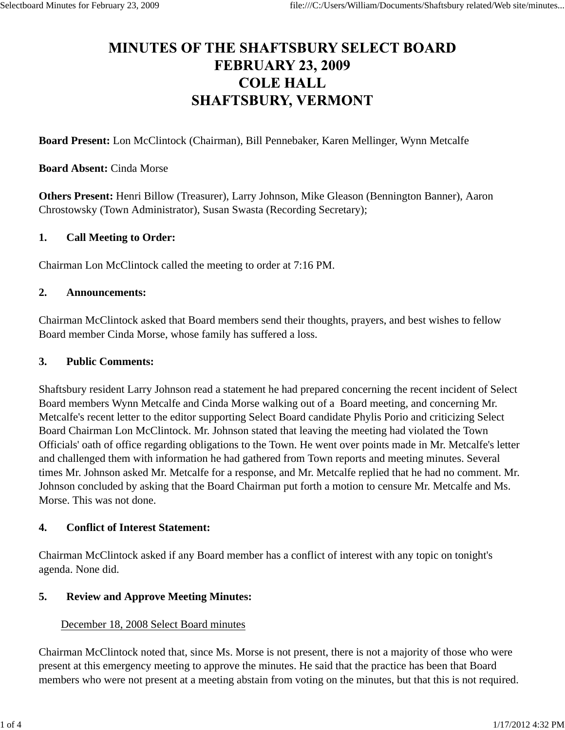# **MINUTES OF THE SHAFTSBURY SELECT BOARD FEBRUARY 23, 2009 COLE HALL SHAFTSBURY, VERMONT**

**Board Present:** Lon McClintock (Chairman), Bill Pennebaker, Karen Mellinger, Wynn Metcalfe

#### **Board Absent:** Cinda Morse

**Others Present:** Henri Billow (Treasurer), Larry Johnson, Mike Gleason (Bennington Banner), Aaron Chrostowsky (Town Administrator), Susan Swasta (Recording Secretary);

#### **1. Call Meeting to Order:**

Chairman Lon McClintock called the meeting to order at 7:16 PM.

#### **2. Announcements:**

Chairman McClintock asked that Board members send their thoughts, prayers, and best wishes to fellow Board member Cinda Morse, whose family has suffered a loss.

#### **3. Public Comments:**

Shaftsbury resident Larry Johnson read a statement he had prepared concerning the recent incident of Select Board members Wynn Metcalfe and Cinda Morse walking out of a Board meeting, and concerning Mr. Metcalfe's recent letter to the editor supporting Select Board candidate Phylis Porio and criticizing Select Board Chairman Lon McClintock. Mr. Johnson stated that leaving the meeting had violated the Town Officials' oath of office regarding obligations to the Town. He went over points made in Mr. Metcalfe's letter and challenged them with information he had gathered from Town reports and meeting minutes. Several times Mr. Johnson asked Mr. Metcalfe for a response, and Mr. Metcalfe replied that he had no comment. Mr. Johnson concluded by asking that the Board Chairman put forth a motion to censure Mr. Metcalfe and Ms. Morse. This was not done.

### **4. Conflict of Interest Statement:**

Chairman McClintock asked if any Board member has a conflict of interest with any topic on tonight's agenda. None did.

### **5. Review and Approve Meeting Minutes:**

### December 18, 2008 Select Board minutes

Chairman McClintock noted that, since Ms. Morse is not present, there is not a majority of those who were present at this emergency meeting to approve the minutes. He said that the practice has been that Board members who were not present at a meeting abstain from voting on the minutes, but that this is not required.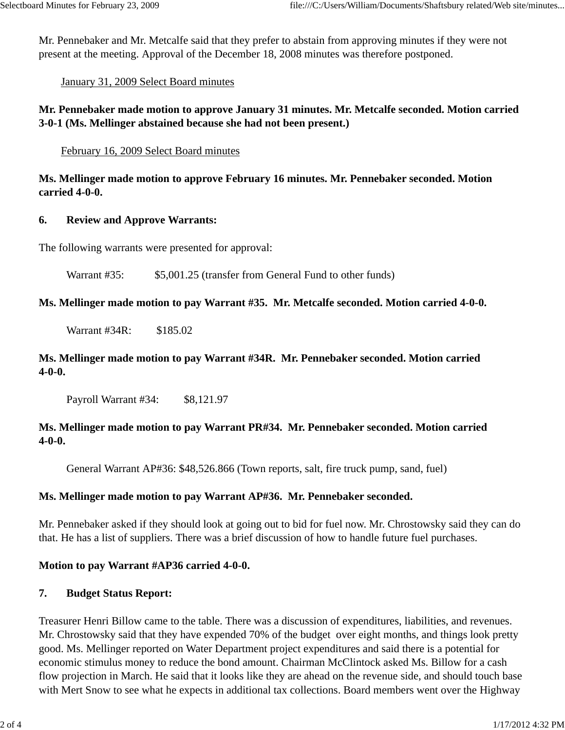Mr. Pennebaker and Mr. Metcalfe said that they prefer to abstain from approving minutes if they were not present at the meeting. Approval of the December 18, 2008 minutes was therefore postponed.

January 31, 2009 Select Board minutes

**Mr. Pennebaker made motion to approve January 31 minutes. Mr. Metcalfe seconded. Motion carried 3-0-1 (Ms. Mellinger abstained because she had not been present.)**

February 16, 2009 Select Board minutes

**Ms. Mellinger made motion to approve February 16 minutes. Mr. Pennebaker seconded. Motion carried 4-0-0.**

### **6. Review and Approve Warrants:**

The following warrants were presented for approval:

Warrant #35: \$5,001.25 (transfer from General Fund to other funds)

**Ms. Mellinger made motion to pay Warrant #35. Mr. Metcalfe seconded. Motion carried 4-0-0.** 

Warrant #34R: \$185.02

## **Ms. Mellinger made motion to pay Warrant #34R. Mr. Pennebaker seconded. Motion carried 4-0-0.**

Payroll Warrant #34: \$8,121.97

## **Ms. Mellinger made motion to pay Warrant PR#34. Mr. Pennebaker seconded. Motion carried 4-0-0.**

General Warrant AP#36: \$48,526.866 (Town reports, salt, fire truck pump, sand, fuel)

### **Ms. Mellinger made motion to pay Warrant AP#36. Mr. Pennebaker seconded.**

Mr. Pennebaker asked if they should look at going out to bid for fuel now. Mr. Chrostowsky said they can do that. He has a list of suppliers. There was a brief discussion of how to handle future fuel purchases.

### **Motion to pay Warrant #AP36 carried 4-0-0.**

## **7. Budget Status Report:**

Treasurer Henri Billow came to the table. There was a discussion of expenditures, liabilities, and revenues. Mr. Chrostowsky said that they have expended 70% of the budget over eight months, and things look pretty good. Ms. Mellinger reported on Water Department project expenditures and said there is a potential for economic stimulus money to reduce the bond amount. Chairman McClintock asked Ms. Billow for a cash flow projection in March. He said that it looks like they are ahead on the revenue side, and should touch base with Mert Snow to see what he expects in additional tax collections. Board members went over the Highway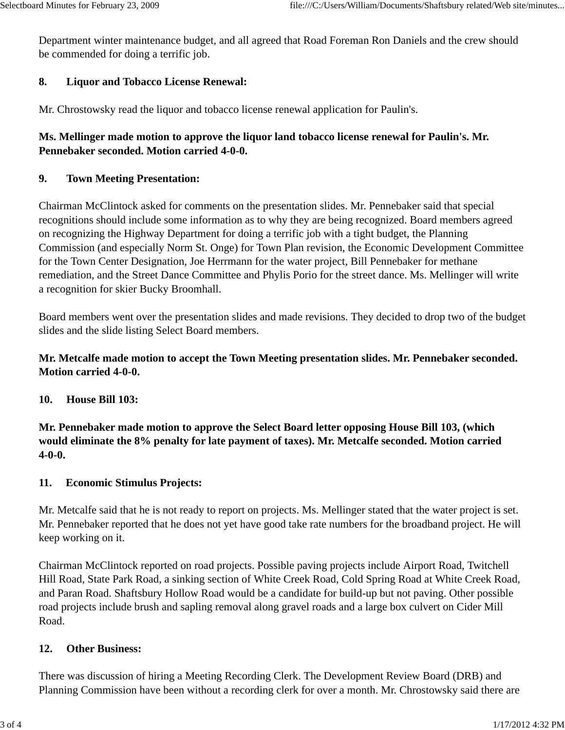Department winter maintenance budget, and all agreed that Road Foreman Ron Daniels and the crew should be commended for doing a terrific job.

## **8. Liquor and Tobacco License Renewal:**

Mr. Chrostowsky read the liquor and tobacco license renewal application for Paulin's.

# **Ms. Mellinger made motion to approve the liquor land tobacco license renewal for Paulin's. Mr. Pennebaker seconded. Motion carried 4-0-0.**

## **9. Town Meeting Presentation:**

Chairman McClintock asked for comments on the presentation slides. Mr. Pennebaker said that special recognitions should include some information as to why they are being recognized. Board members agreed on recognizing the Highway Department for doing a terrific job with a tight budget, the Planning Commission (and especially Norm St. Onge) for Town Plan revision, the Economic Development Committee for the Town Center Designation, Joe Herrmann for the water project, Bill Pennebaker for methane remediation, and the Street Dance Committee and Phylis Porio for the street dance. Ms. Mellinger will write a recognition for skier Bucky Broomhall.

Board members went over the presentation slides and made revisions. They decided to drop two of the budget slides and the slide listing Select Board members.

# **Mr. Metcalfe made motion to accept the Town Meeting presentation slides. Mr. Pennebaker seconded. Motion carried 4-0-0.**

### **10. House Bill 103:**

**Mr. Pennebaker made motion to approve the Select Board letter opposing House Bill 103, (which would eliminate the 8% penalty for late payment of taxes). Mr. Metcalfe seconded. Motion carried 4-0-0.**

### **11. Economic Stimulus Projects:**

Mr. Metcalfe said that he is not ready to report on projects. Ms. Mellinger stated that the water project is set. Mr. Pennebaker reported that he does not yet have good take rate numbers for the broadband project. He will keep working on it.

Chairman McClintock reported on road projects. Possible paving projects include Airport Road, Twitchell Hill Road, State Park Road, a sinking section of White Creek Road, Cold Spring Road at White Creek Road, and Paran Road. Shaftsbury Hollow Road would be a candidate for build-up but not paving. Other possible road projects include brush and sapling removal along gravel roads and a large box culvert on Cider Mill Road.

### **12. Other Business:**

There was discussion of hiring a Meeting Recording Clerk. The Development Review Board (DRB) and Planning Commission have been without a recording clerk for over a month. Mr. Chrostowsky said there are